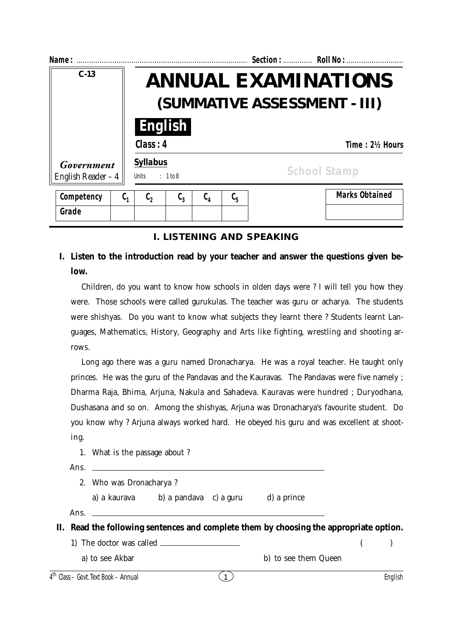| Name:                             |                  | Section:  Roll No:                                          |                  |                  |                               |  |                       |  |  |
|-----------------------------------|------------------|-------------------------------------------------------------|------------------|------------------|-------------------------------|--|-----------------------|--|--|
| $C-13$                            |                  | <b>ANNUAL EXAMINATIONS</b><br>(SUMMATIVE ASSESSMENT - III)  |                  |                  |                               |  |                       |  |  |
|                                   |                  | Class: 4                                                    | <b>English</b>   |                  |                               |  | Time: 21/2 Hours      |  |  |
| Government<br>English Reader $-4$ |                  | <b>Syllabus</b><br><b>School Stamp</b><br>Units<br>: 1 to 8 |                  |                  |                               |  |                       |  |  |
| Competency                        | $\mathfrak{c}_1$ | $\mathfrak{c}_2$                                            | $\mathfrak{c}_3$ | $\mathfrak{c}_4$ | $\mathfrak{c}_{\mathfrak{s}}$ |  | <b>Marks Obtained</b> |  |  |
| Grade                             |                  |                                                             |                  |                  |                               |  |                       |  |  |

#### **I. LISTENING AND SPEAKING**

## **I. Listen to the introduction read by your teacher and answer the questions given below.**

Children, do you want to know how schools in olden days were ? I will tell you how they were. Those schools were called gurukulas. The teacher was guru or acharya. The students were shishyas. Do you want to know what subjects they learnt there ? Students learnt Languages, Mathematics, History, Geography and Arts like fighting, wrestling and shooting arrows.

Long ago there was a guru named Dronacharya. He was a royal teacher. He taught only princes. He was the guru of the Pandavas and the Kauravas. The Pandavas were five namely ; Dharma Raja, Bhima, Arjuna, Nakula and Sahadeva. Kauravas were hundred ; Duryodhana, Dushasana and so on. Among the shishyas, Arjuna was Dronacharya's favourite student. Do you know why ? Arjuna always worked hard. He obeyed his guru and was excellent at shooting.

1. What is the passage about ?

Ans.

2. Who was Dronacharya ?

a) a kaurava b) a pandava c) a guru d) a prince

Ans.

**II. Read the following sentences and complete them by choosing the appropriate option.**

1) The doctor was called  $\qquad \qquad$  ( )

a) to see Akbar b) to see them Queen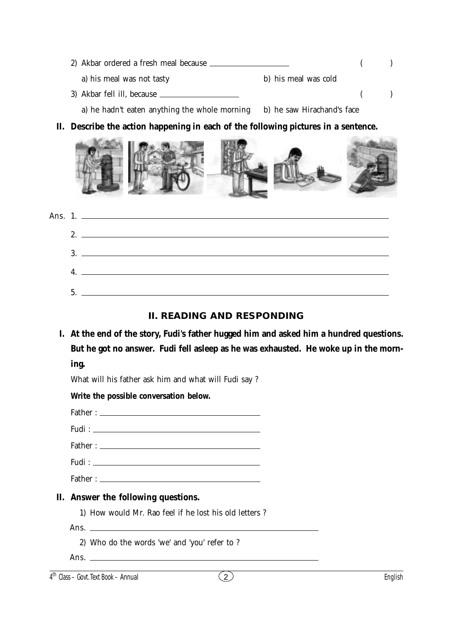| 2) Akbar ordered a fresh meal because                                    |                      |  |  |
|--------------------------------------------------------------------------|----------------------|--|--|
| a) his meal was not tasty                                                | b) his meal was cold |  |  |
| 3) Akbar fell ill, because                                               |                      |  |  |
| a) he hadn't eaten anything the whole morning b) he saw Hirachand's face |                      |  |  |

# **II. Describe the action happening in each of the following pictures in a sentence.**



|  | Ans. 1.          |
|--|------------------|
|  |                  |
|  | 3.               |
|  | $\overline{4}$ . |
|  |                  |

### **II. READING AND RESPONDING**

**I. At the end of the story, Fudi's father hugged him and asked him a hundred questions. But he got no answer. Fudi fell asleep as he was exhausted. He woke up in the morning.**

What will his father ask him and what will Fudi say ?

**Write the possible conversation below.**

Father :

Fudi :

Father :

Fudi :

Father :

## **II. Answer the following questions.**

1) How would Mr. Rao feel if he lost his old letters ?

Ans.

- 2) Who do the words 'we' and 'you' refer to ?
- Ans.

4 th Class – Govt. Text Book – **Annual** English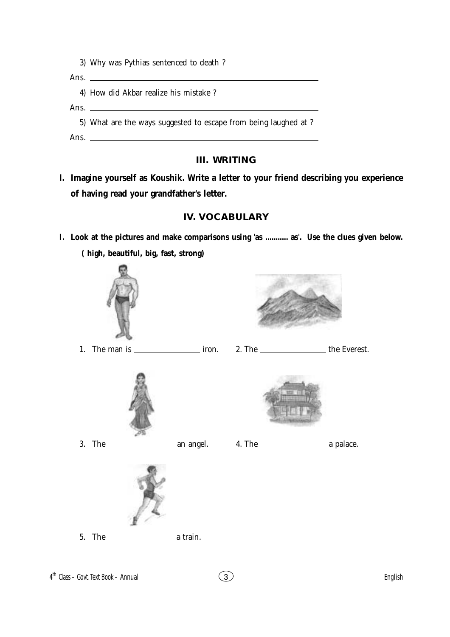3) Why was Pythias sentenced to death ?

Ans.  $\overline{\phantom{0}}$ 

4) How did Akbar realize his mistake ?

Ans.

5) What are the ways suggested to escape from being laughed at ?

Ans.

## **III. WRITING**

**I. Imagine yourself as Koushik. Write a letter to your friend describing you experience of having read your grandfather's letter.**

# **IV. VOCABULARY**

**I. Look at the pictures and make comparisons using 'as ........... as'. Use the clues given below. ( high, beautiful, big, fast, strong)**